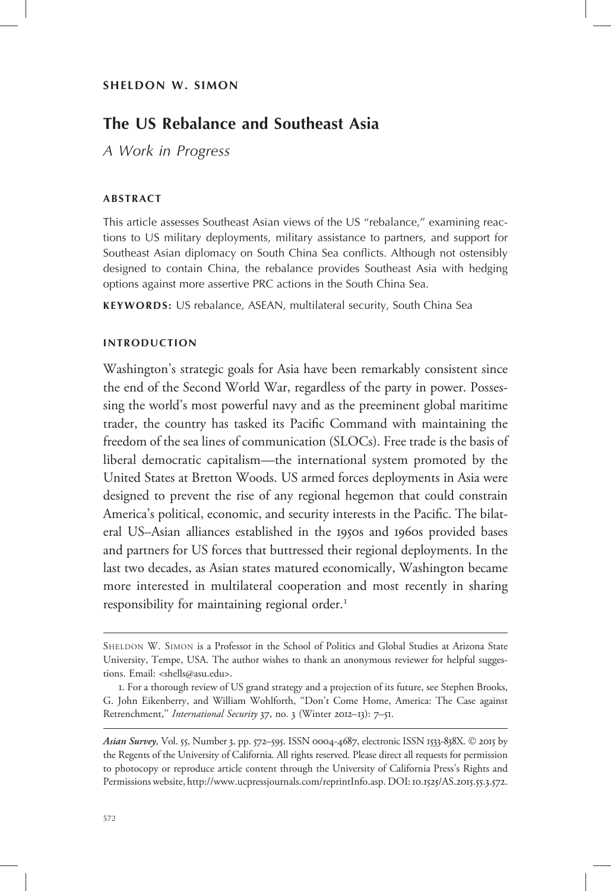# SHELDON W. SIMON

# The US Rebalance and Southeast Asia

A Work in Progress

# ABSTRACT

This article assesses Southeast Asian views of the US "rebalance," examining reactions to US military deployments, military assistance to partners, and support for Southeast Asian diplomacy on South China Sea conflicts. Although not ostensibly designed to contain China, the rebalance provides Southeast Asia with hedging options against more assertive PRC actions in the South China Sea.

KEYWORDS: US rebalance, ASEAN, multilateral security, South China Sea

# INTRODUCTION

Washington's strategic goals for Asia have been remarkably consistent since the end of the Second World War, regardless of the party in power. Possessing the world's most powerful navy and as the preeminent global maritime trader, the country has tasked its Pacific Command with maintaining the freedom of the sea lines of communication (SLOCs). Free trade is the basis of liberal democratic capitalism—the international system promoted by the United States at Bretton Woods. US armed forces deployments in Asia were designed to prevent the rise of any regional hegemon that could constrain America's political, economic, and security interests in the Pacific. The bilateral US–Asian alliances established in the 1950s and 1960s provided bases and partners for US forces that buttressed their regional deployments. In the last two decades, as Asian states matured economically, Washington became more interested in multilateral cooperation and most recently in sharing responsibility for maintaining regional order.<sup>1</sup>

SHELDON W. SIMON [is a Professor in the School of Politics and G](http://www.ucpressjournals.com/reprintInfo.asp)lobal Studies at Arizona State University, Tempe, USA. The author wishes to thank an anonymous reviewer for helpful suggestions. Email: <shells@asu.edu>.

<sup>1.</sup> For a thorough review of US grand strategy and a projection of its future, see Stephen Brooks, G. John Eikenberry, and William Wohlforth, ''Don't Come Home, America: The Case against Retrenchment," International Security 37, no. 3 (Winter 2012-13): 7-51.

Asian Survey, Vol. 55, Number 3, pp. 572-595. ISSN 0004-4687, electronic ISSN 1533-838X. © 2015 by the Regents of the University of California. All rights reserved. Please direct all requests for permission to photocopy or reproduce article content through the University of California Press's Rights and Permissions website, http://www.ucpressjournals.com/reprintInfo.asp. DOI:10.1525/AS.2015.55.3.572.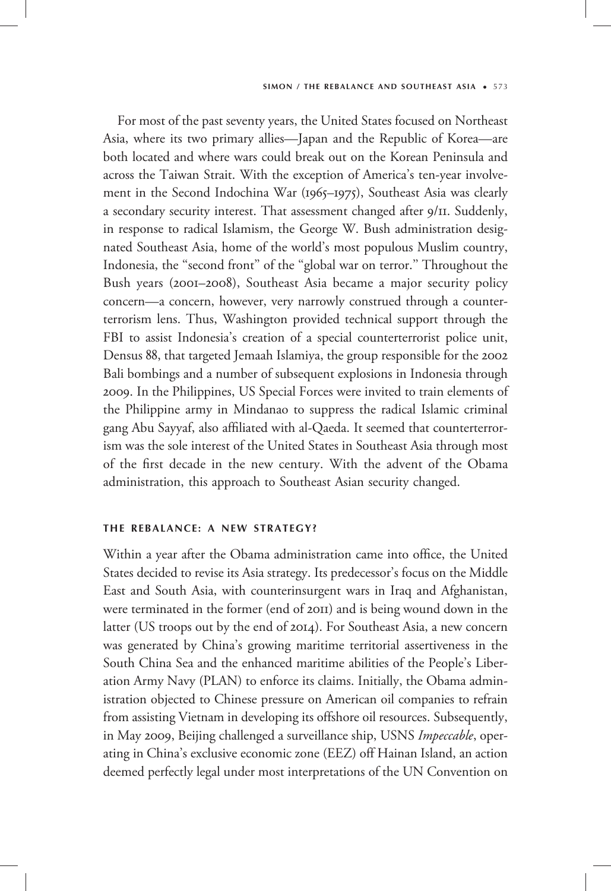For most of the past seventy years, the United States focused on Northeast Asia, where its two primary allies—Japan and the Republic of Korea—are both located and where wars could break out on the Korean Peninsula and across the Taiwan Strait. With the exception of America's ten-year involvement in the Second Indochina War (1965–1975), Southeast Asia was clearly a secondary security interest. That assessment changed after 9/11. Suddenly, in response to radical Islamism, the George W. Bush administration designated Southeast Asia, home of the world's most populous Muslim country, Indonesia, the ''second front'' of the ''global war on terror.'' Throughout the Bush years (2001–2008), Southeast Asia became a major security policy concern—a concern, however, very narrowly construed through a counterterrorism lens. Thus, Washington provided technical support through the FBI to assist Indonesia's creation of a special counterterrorist police unit, Densus 88, that targeted Jemaah Islamiya, the group responsible for the 2002 Bali bombings and a number of subsequent explosions in Indonesia through 2009. In the Philippines, US Special Forces were invited to train elements of the Philippine army in Mindanao to suppress the radical Islamic criminal gang Abu Sayyaf, also affiliated with al-Qaeda. It seemed that counterterrorism was the sole interest of the United States in Southeast Asia through most of the first decade in the new century. With the advent of the Obama administration, this approach to Southeast Asian security changed.

### THE REBALANCE: A NEW STRATEGY?

Within a year after the Obama administration came into office, the United States decided to revise its Asia strategy. Its predecessor's focus on the Middle East and South Asia, with counterinsurgent wars in Iraq and Afghanistan, were terminated in the former (end of 2011) and is being wound down in the latter (US troops out by the end of 2014). For Southeast Asia, a new concern was generated by China's growing maritime territorial assertiveness in the South China Sea and the enhanced maritime abilities of the People's Liberation Army Navy (PLAN) to enforce its claims. Initially, the Obama administration objected to Chinese pressure on American oil companies to refrain from assisting Vietnam in developing its offshore oil resources. Subsequently, in May 2009, Beijing challenged a surveillance ship, USNS Impeccable, operating in China's exclusive economic zone (EEZ) off Hainan Island, an action deemed perfectly legal under most interpretations of the UN Convention on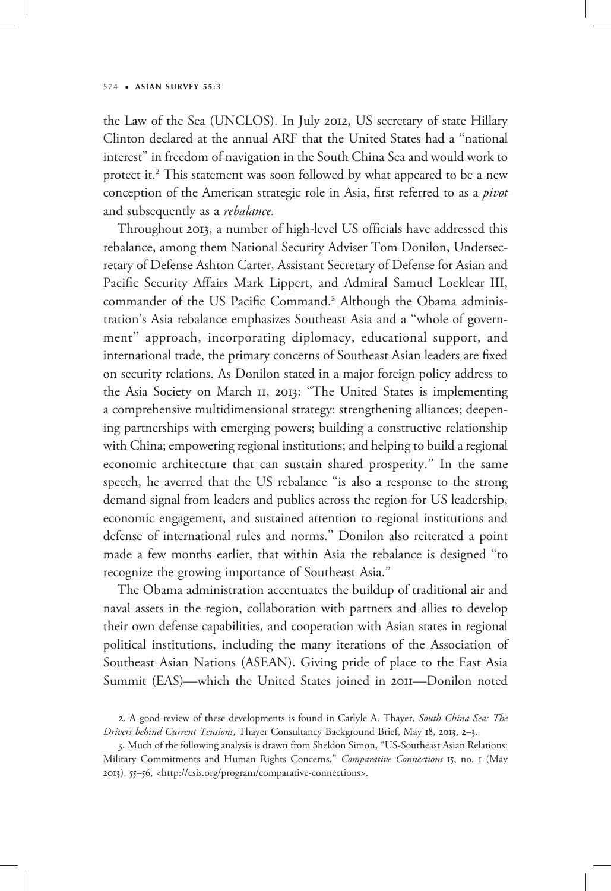the Law of the Sea (UNCLOS). In July 2012, US secretary of state Hillary Clinton declared at the annual ARF that the United States had a ''national interest'' in freedom of navigation in the South China Sea and would work to protect it.<sup>2</sup> This statement was soon followed by what appeared to be a new conception of the American strategic role in Asia, first referred to as a *pivot* and subsequently as a *rebalance*.

Throughout 2013, a number of high-level US officials have addressed this rebalance, among them National Security Adviser Tom Donilon, Undersecretary of Defense Ashton Carter, Assistant Secretary of Defense for Asian and Pacific Security Affairs Mark Lippert, and Admiral Samuel Locklear III, commander of the US Pacific Command.<sup>3</sup> Although the Obama administration's Asia rebalance emphasizes Southeast Asia and a ''whole of government'' approach, incorporating diplomacy, educational support, and international trade, the primary concerns of Southeast Asian leaders are fixed on security relations. As Donilon stated in a major foreign policy address to the Asia Society on March 11, 2013: ''The United States is implementing a comprehensive multidimensional strategy: strengthening alliances; deepening partnerships with emerging powers; building a constructive relationship with China; empowering regional institutions; and helping to build a regional economic architecture that can sustain shared prosperity.'' In the same speech, he averred that the US rebalance ''is also a response to the strong demand signal from leaders and publics across the region for US leadership, economic engagement, and sustained attention to regional institutions and defense of international rules and norms.'' Donilon also reiterated a point made a few months earlier, that within Asia the rebalance is designed ''to recognize the growing importance of Southeast Asia.''

The Obama administration accentuates the buildup of traditional air and naval assets in the region, collaboration with partners and allies to develop their own defense capabilities, and cooperation with Asian states in regional political i[nstitutions,](http://csis.org/program/comparative-connections) [including](http://csis.org/program/comparative-connections) [the](http://csis.org/program/comparative-connections) [many](http://csis.org/program/comparative-connections) [iterat](http://csis.org/program/comparative-connections)ions of the Association of Southeast Asian Nations (ASEAN). Giving pride of place to the East Asia Summit (EAS)—which the United States joined in 2011—Donilon noted

<sup>2.</sup> A good review of these developments is found in Carlyle A. Thayer, South China Sea: The Drivers behind Current Tensions, Thayer Consultancy Background Brief, May 18, 2013, 2–3.

<sup>3.</sup> Much of the following analysis is drawn from Sheldon Simon, ''US-Southeast Asian Relations: Military Commitments and Human Rights Concerns," Comparative Connections 15, no. 1 (May 2013), 55–56, <http://csis.org/program/comparative-connections>.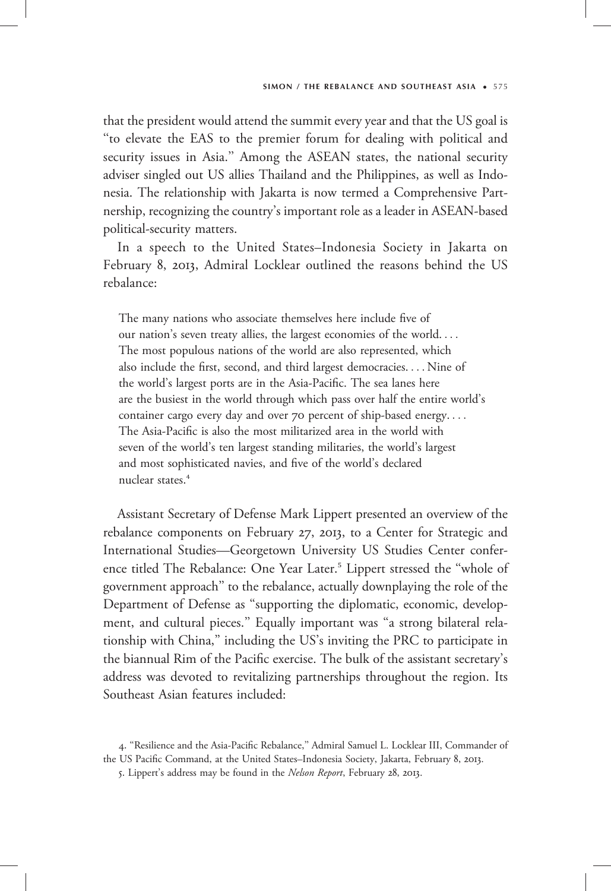that the president would attend the summit every year and that the US goal is ''to elevate the EAS to the premier forum for dealing with political and security issues in Asia.'' Among the ASEAN states, the national security adviser singled out US allies Thailand and the Philippines, as well as Indonesia. The relationship with Jakarta is now termed a Comprehensive Partnership, recognizing the country's important role as a leader in ASEAN-based political-security matters.

In a speech to the United States–Indonesia Society in Jakarta on February 8, 2013, Admiral Locklear outlined the reasons behind the US rebalance:

The many nations who associate themselves here include five of our nation's seven treaty allies, the largest economies of the world. ... The most populous nations of the world are also represented, which also include the first, second, and third largest democracies. ... Nine of the world's largest ports are in the Asia-Pacific. The sea lanes here are the busiest in the world through which pass over half the entire world's container cargo every day and over 70 percent of ship-based energy. ... The Asia-Pacific is also the most militarized area in the world with seven of the world's ten largest standing militaries, the world's largest and most sophisticated navies, and five of the world's declared nuclear states.<sup>4</sup>

Assistant Secretary of Defense Mark Lippert presented an overview of the rebalance components on February 27, 2013, to a Center for Strategic and International Studies—Georgetown University US Studies Center conference titled The Rebalance: One Year Later.<sup>5</sup> Lippert stressed the "whole of government approach'' to the rebalance, actually downplaying the role of the Department of Defense as ''supporting the diplomatic, economic, development, and cultural pieces.'' Equally important was ''a strong bilateral relationship with China,'' including the US's inviting the PRC to participate in the biannual Rim of the Pacific exercise. The bulk of the assistant secretary's address was devoted to revitalizing partnerships throughout the region. Its Southeast Asian features included:

<sup>4.</sup> ''Resilience and the Asia-Pacific Rebalance,'' Admiral Samuel L. Locklear III, Commander of

the US Pacific Command, at the United States–Indonesia Society, Jakarta, February 8, 2013.

<sup>5.</sup> Lippert's address may be found in the Nelson Report, February 28, 2013.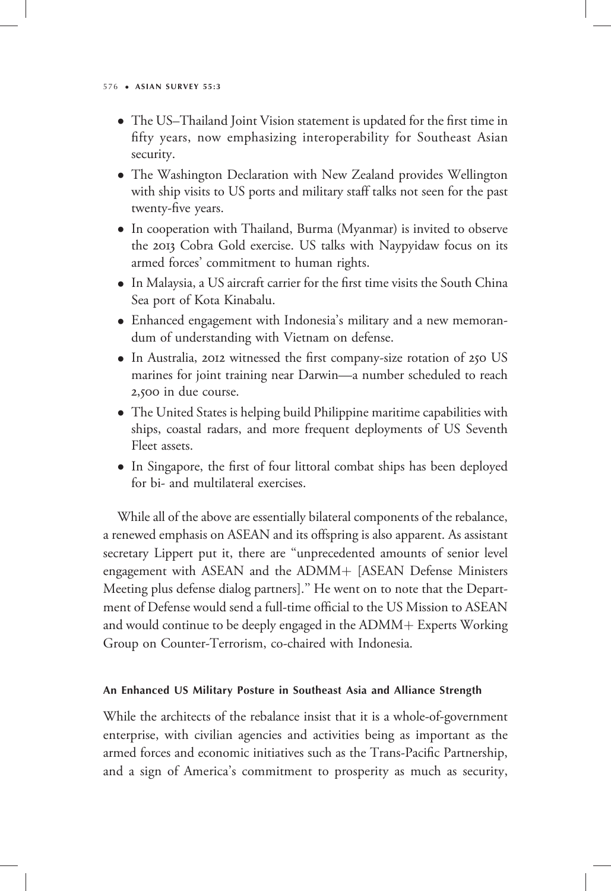- The US–Thailand Joint Vision statement is updated for the first time in fifty years, now emphasizing interoperability for Southeast Asian security.
- The Washington Declaration with New Zealand provides Wellington with ship visits to US ports and military staff talks not seen for the past twenty-five years.
- In cooperation with Thailand, Burma (Myanmar) is invited to observe the 2013 Cobra Gold exercise. US talks with Naypyidaw focus on its armed forces' commitment to human rights.
- In Malaysia, a US aircraft carrier for the first time visits the South China Sea port of Kota Kinabalu.
- Enhanced engagement with Indonesia's military and a new memorandum of understanding with Vietnam on defense.
- In Australia, 2012 witnessed the first company-size rotation of 250 US marines for joint training near Darwin—a number scheduled to reach 2,500 in due course.
- The United States is helping build Philippine maritime capabilities with ships, coastal radars, and more frequent deployments of US Seventh Fleet assets.
- In Singapore, the first of four littoral combat ships has been deployed for bi- and multilateral exercises.

While all of the above are essentially bilateral components of the rebalance, a renewed emphasis on ASEAN and its offspring is also apparent. As assistant secretary Lippert put it, there are ''unprecedented amounts of senior level engagement with ASEAN and the ADMM+ [ASEAN Defense Ministers Meeting plus defense dialog partners].'' He went on to note that the Department of Defense would send a full-time official to the US Mission to ASEAN and would continue to be deeply engaged in the  $ADMM +$  Experts Working Group on Counter-Terrorism, co-chaired with Indonesia.

# An Enhanced US Military Posture in Southeast Asia and Alliance Strength

While the architects of the rebalance insist that it is a whole-of-government enterprise, with civilian agencies and activities being as important as the armed forces and economic initiatives such as the Trans-Pacific Partnership, and a sign of America's commitment to prosperity as much as security,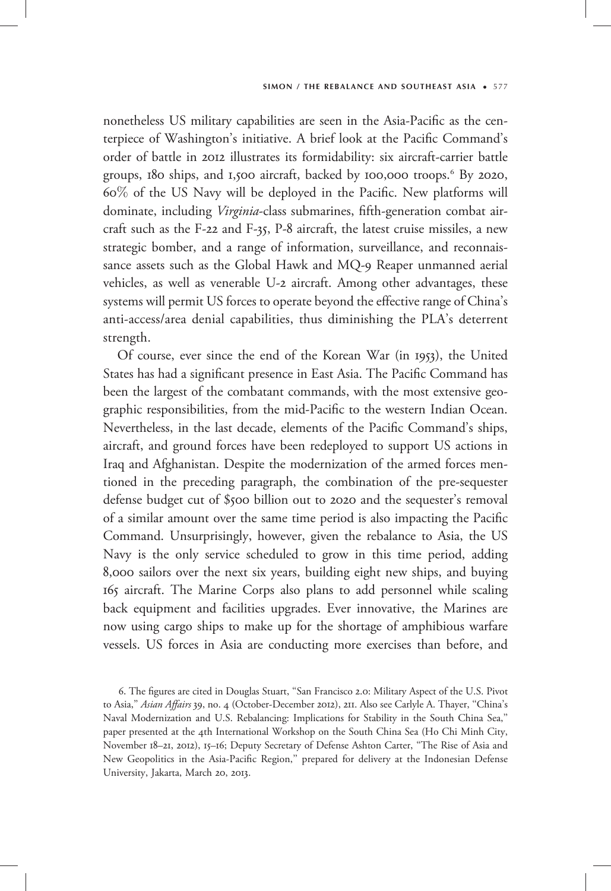nonetheless US military capabilities are seen in the Asia-Pacific as the centerpiece of Washington's initiative. A brief look at the Pacific Command's order of battle in 2012 illustrates its formidability: six aircraft-carrier battle groups, 180 ships, and 1,500 aircraft, backed by 100,000 troops.<sup>6</sup> By 2020, 60% of the US Navy will be deployed in the Pacific. New platforms will dominate, including Virginia-class submarines, fifth-generation combat aircraft such as the F-22 and F-35, P-8 aircraft, the latest cruise missiles, a new strategic bomber, and a range of information, surveillance, and reconnaissance assets such as the Global Hawk and MQ-9 Reaper unmanned aerial vehicles, as well as venerable U-2 aircraft. Among other advantages, these systems will permit US forces to operate beyond the effective range of China's anti-access/area denial capabilities, thus diminishing the PLA's deterrent strength.

Of course, ever since the end of the Korean War (in 1953), the United States has had a significant presence in East Asia. The Pacific Command has been the largest of the combatant commands, with the most extensive geographic responsibilities, from the mid-Pacific to the western Indian Ocean. Nevertheless, in the last decade, elements of the Pacific Command's ships, aircraft, and ground forces have been redeployed to support US actions in Iraq and Afghanistan. Despite the modernization of the armed forces mentioned in the preceding paragraph, the combination of the pre-sequester defense budget cut of \$500 billion out to 2020 and the sequester's removal of a similar amount over the same time period is also impacting the Pacific Command. Unsurprisingly, however, given the rebalance to Asia, the US Navy is the only service scheduled to grow in this time period, adding 8,000 sailors over the next six years, building eight new ships, and buying 165 aircraft. The Marine Corps also plans to add personnel while scaling back equipment and facilities upgrades. Ever innovative, the Marines are now using cargo ships to make up for the shortage of amphibious warfare vessels. US forces in Asia are conducting more exercises than before, and

<sup>6.</sup> The figures are cited in Douglas Stuart, ''San Francisco 2.0: Military Aspect of the U.S. Pivot to Asia," Asian Affairs 39, no. 4 (October-December 2012), 211. Also see Carlyle A. Thayer, "China's Naval Modernization and U.S. Rebalancing: Implications for Stability in the South China Sea,'' paper presented at the 4th International Workshop on the South China Sea (Ho Chi Minh City, November 18–21, 2012), 15–16; Deputy Secretary of Defense Ashton Carter, ''The Rise of Asia and New Geopolitics in the Asia-Pacific Region,'' prepared for delivery at the Indonesian Defense University, Jakarta, March 20, 2013.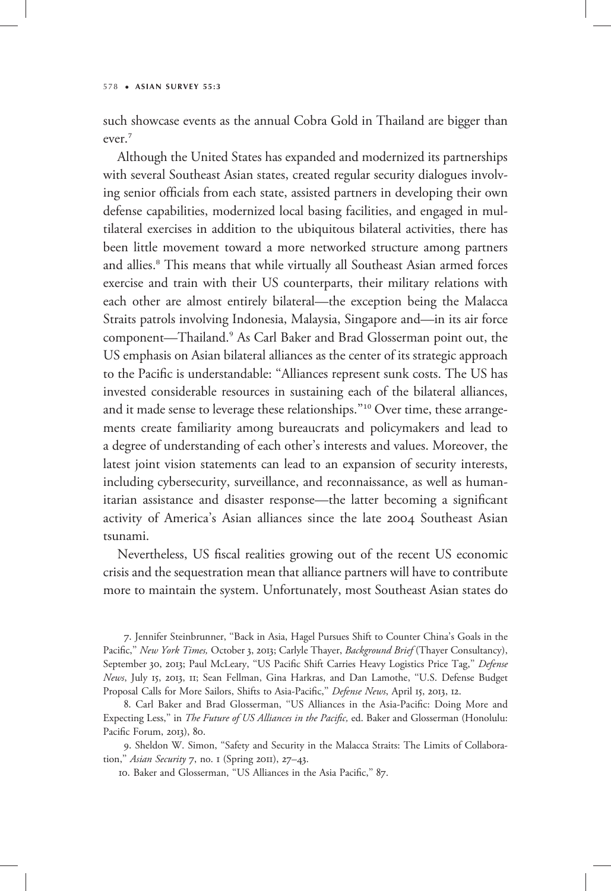such showcase events as the annual Cobra Gold in Thailand are bigger than ever.<sup>7</sup>

Although the United States has expanded and modernized its partnerships with several Southeast Asian states, created regular security dialogues involving senior officials from each state, assisted partners in developing their own defense capabilities, modernized local basing facilities, and engaged in multilateral exercises in addition to the ubiquitous bilateral activities, there has been little movement toward a more networked structure among partners and allies.<sup>8</sup> This means that while virtually all Southeast Asian armed forces exercise and train with their US counterparts, their military relations with each other are almost entirely bilateral—the exception being the Malacca Straits patrols involving Indonesia, Malaysia, Singapore and—in its air force component—Thailand.<sup>9</sup> As Carl Baker and Brad Glosserman point out, the US emphasis on Asian bilateral alliances as the center of its strategic approach to the Pacific is understandable: ''Alliances represent sunk costs. The US has invested considerable resources in sustaining each of the bilateral alliances, and it made sense to leverage these relationships.''<sup>10</sup> Over time, these arrangements create familiarity among bureaucrats and policymakers and lead to a degree of understanding of each other's interests and values. Moreover, the latest joint vision statements can lead to an expansion of security interests, including cybersecurity, surveillance, and reconnaissance, as well as humanitarian assistance and disaster response—the latter becoming a significant activity of America's Asian alliances since the late 2004 Southeast Asian tsunami.

Nevertheless, US fiscal realities growing out of the recent US economic crisis and the sequestration mean that alliance partners will have to contribute more to maintain the system. Unfortunately, most Southeast Asian states do

7. Jennifer Steinbrunner, ''Back in Asia, Hagel Pursues Shift to Counter China's Goals in the Pacific," New York Times, October 3, 2013; Carlyle Thayer, Background Brief (Thayer Consultancy), September 30, 2013; Paul McLeary, "US Pacific Shift Carries Heavy Logistics Price Tag," Defense News, July 15, 2013, 11; Sean Fellman, Gina Harkras, and Dan Lamothe, ''U.S. Defense Budget Proposal Calls for More Sailors, Shifts to Asia-Pacific," Defense News, April 15, 2013, 12.

<sup>8.</sup> Carl Baker and Brad Glosserman, ''US Alliances in the Asia-Pacific: Doing More and Expecting Less," in The Future of US Alliances in the Pacific, ed. Baker and Glosserman (Honolulu: Pacific Forum, 2013), 80.

<sup>9.</sup> Sheldon W. Simon, ''Safety and Security in the Malacca Straits: The Limits of Collaboration," Asian Security 7, no. 1 (Spring 2011), 27-43.

<sup>10.</sup> Baker and Glosserman, ''US Alliances in the Asia Pacific,'' 87.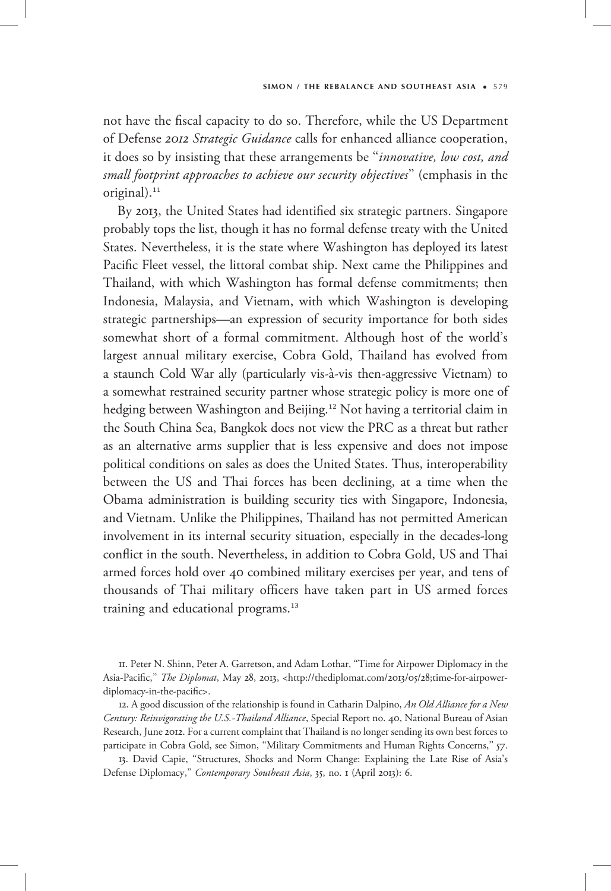### SIMON / THE REBALANCE AND SOUTHEAST ASIA • 579

not have the fiscal capacity to do so. Therefore, while the US Department of Defense 2012 Strategic Guidance calls for enhanced alliance cooperation, it does so by insisting that these arrangements be "innovative, low cost, and small footprint approaches to achieve our security objectives" (emphasis in the original).<sup>11</sup>

By 2013, the United States had identified six strategic partners. Singapore probably tops the list, though it has no formal defense treaty with the United States. Nevertheless, it is the state where Washington has deployed its latest Pacific Fleet vessel, the littoral combat ship. Next came the Philippines and Thailand, with which Washington has formal defense commitments; then Indonesia, Malaysia, and Vietnam, with which Washington is developing strategic partnerships—an expression of security importance for both sides somewhat short of a formal commitment. Although host of the world's largest annual military exercise, Cobra Gold, Thailand has evolved from a staunch Cold War ally (particularly vis-à-vis then-aggressive Vietnam) to a somewhat restrained security partner whose strategic policy is more one of hedging between Washington and Beijing.<sup>12</sup> Not having a territorial claim in the South China Sea, Bangkok does not view the PRC as a threat but rather as an alternative arms supplier that is less expensive and does not impose political conditions on sales as does the United States. Thus, interoperability between the US and Thai forces has been declining, at a time when the Obama administration is building security ties with Singapore, Indonesia, and Vietnam. Unlike the Philippines, Thailand has not permitted American involvement in its internal securit[y situation, especially in the decades-long](http://thediplomat.com/2013/05/28;time-for-airpower-diplomacy-in-the-pacific) [conflict in the sout](http://thediplomat.com/2013/05/28;time-for-airpower-diplomacy-in-the-pacific)h. Nevertheless, in addition to Cobra Gold, US and Thai armed forces hold over 40 combined military exercises per year, and tens of thousands of Thai military officers have taken part in US armed forces training and educational programs.<sup>13</sup>

13. David Capie, ''Structures, Shocks and Norm Change: Explaining the Late Rise of Asia's Defense Diplomacy,'' Contemporary Southeast Asia, 35, no. 1 (April 2013): 6.

<sup>11.</sup> Peter N. Shinn, Peter A. Garretson, and Adam Lothar, ''Time for Airpower Diplomacy in the Asia-Pacific," The Diplomat, May 28, 2013, <http://thediplomat.com/2013/05/28;time-for-airpowerdiplomacy-in-the-pacific>.

<sup>12.</sup> A good discussion of the relationship is found in Catharin Dalpino, An Old Alliance for a New Century: Reinvigorating the U.S.-Thailand Alliance, Special Report no. 40, National Bureau of Asian Research, June 2012. For a current complaint that Thailand is no longer sending its own best forces to participate in Cobra Gold, see Simon, ''Military Commitments and Human Rights Concerns,'' 57.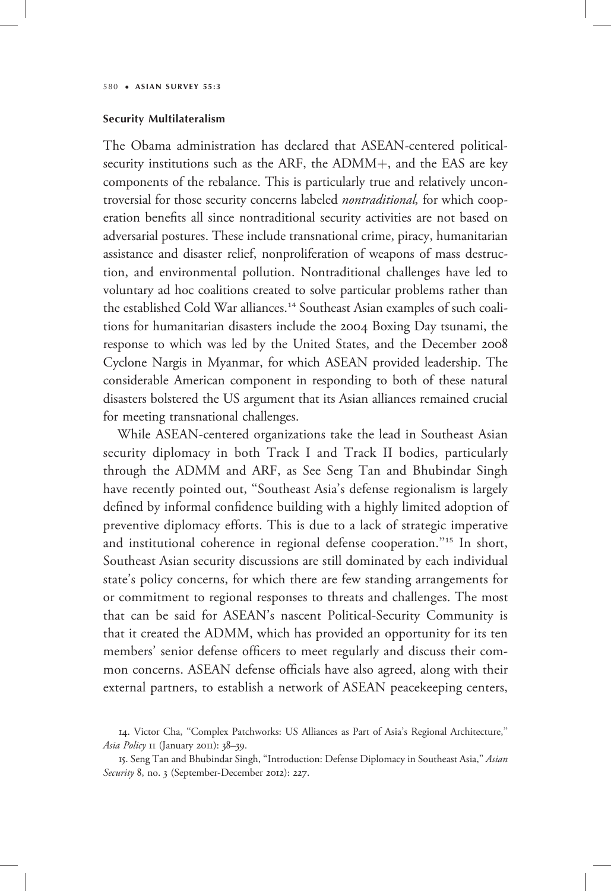### Security Multilateralism

The Obama administration has declared that ASEAN-centered politicalsecurity institutions such as the ARF, the ADMM+, and the EAS are key components of the rebalance. This is particularly true and relatively uncontroversial for those security concerns labeled *nontraditional*, for which cooperation benefits all since nontraditional security activities are not based on adversarial postures. These include transnational crime, piracy, humanitarian assistance and disaster relief, nonproliferation of weapons of mass destruction, and environmental pollution. Nontraditional challenges have led to voluntary ad hoc coalitions created to solve particular problems rather than the established Cold War alliances.<sup>14</sup> Southeast Asian examples of such coalitions for humanitarian disasters include the 2004 Boxing Day tsunami, the response to which was led by the United States, and the December 2008 Cyclone Nargis in Myanmar, for which ASEAN provided leadership. The considerable American component in responding to both of these natural disasters bolstered the US argument that its Asian alliances remained crucial for meeting transnational challenges.

While ASEAN-centered organizations take the lead in Southeast Asian security diplomacy in both Track I and Track II bodies, particularly through the ADMM and ARF, as See Seng Tan and Bhubindar Singh have recently pointed out, ''Southeast Asia's defense regionalism is largely defined by informal confidence building with a highly limited adoption of preventive diplomacy efforts. This is due to a lack of strategic imperative and institutional coherence in regional defense cooperation.''<sup>15</sup> In short, Southeast Asian security discussions are still dominated by each individual state's policy concerns, for which there are few standing arrangements for or commitment to regional responses to threats and challenges. The most that can be said for ASEAN's nascent Political-Security Community is that it created the ADMM, which has provided an opportunity for its ten members' senior defense officers to meet regularly and discuss their common concerns. ASEAN defense officials have also agreed, along with their external partners, to establish a network of ASEAN peacekeeping centers,

<sup>14.</sup> Victor Cha, ''Complex Patchworks: US Alliances as Part of Asia's Regional Architecture,'' Asia Policy II (January 2011): 38-39.

<sup>15.</sup> Seng Tan and Bhubindar Singh, "Introduction: Defense Diplomacy in Southeast Asia," Asian Security 8, no. 3 (September-December 2012): 227.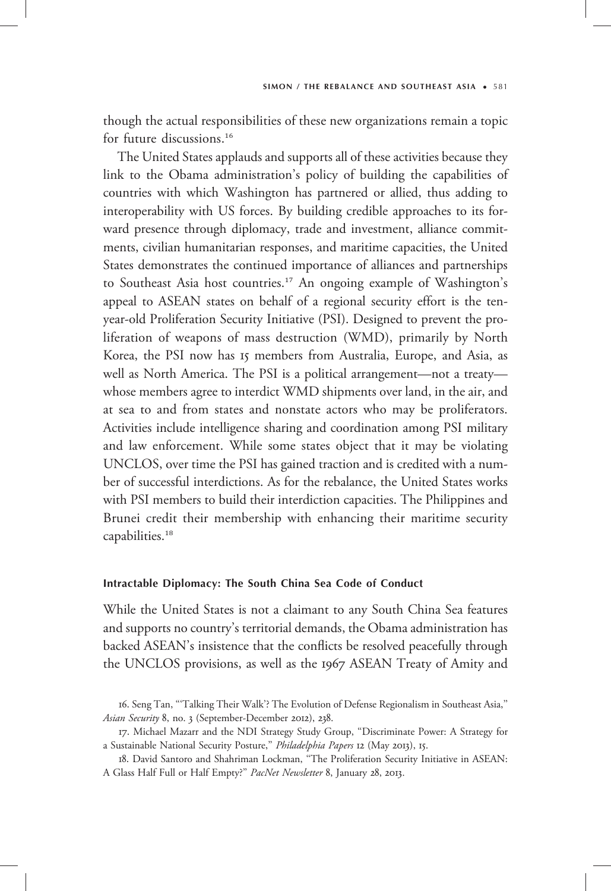though the actual responsibilities of these new organizations remain a topic for future discussions.<sup>16</sup>

The United States applauds and supports all of these activities because they link to the Obama administration's policy of building the capabilities of countries with which Washington has partnered or allied, thus adding to interoperability with US forces. By building credible approaches to its forward presence through diplomacy, trade and investment, alliance commitments, civilian humanitarian responses, and maritime capacities, the United States demonstrates the continued importance of alliances and partnerships to Southeast Asia host countries.<sup>17</sup> An ongoing example of Washington's appeal to ASEAN states on behalf of a regional security effort is the tenyear-old Proliferation Security Initiative (PSI). Designed to prevent the proliferation of weapons of mass destruction (WMD), primarily by North Korea, the PSI now has 15 members from Australia, Europe, and Asia, as well as North America. The PSI is a political arrangement—not a treaty whose members agree to interdict WMD shipments over land, in the air, and at sea to and from states and nonstate actors who may be proliferators. Activities include intelligence sharing and coordination among PSI military and law enforcement. While some states object that it may be violating UNCLOS, over time the PSI has gained traction and is credited with a number of successful interdictions. As for the rebalance, the United States works with PSI members to build their interdiction capacities. The Philippines and Brunei credit their membership with enhancing their maritime security capabilities.<sup>18</sup>

# Intractable Diplomacy: The South China Sea Code of Conduct

While the United States is not a claimant to any South China Sea features and supports no country's territorial demands, the Obama administration has backed ASEAN's insistence that the conflicts be resolved peacefully through the UNCLOS provisions, as well as the 1967 ASEAN Treaty of Amity and

<sup>16.</sup> Seng Tan, '''Talking Their Walk'? The Evolution of Defense Regionalism in Southeast Asia,'' Asian Security 8, no. 3 (September-December 2012), 238.

<sup>17.</sup> Michael Mazarr and the NDI Strategy Study Group, ''Discriminate Power: A Strategy for a Sustainable National Security Posture,'' Philadelphia Papers 12 (May 2013), 15.

<sup>18.</sup> David Santoro and Shahriman Lockman, ''The Proliferation Security Initiative in ASEAN: A Glass Half Full or Half Empty?'' PacNet Newsletter 8, January 28, 2013.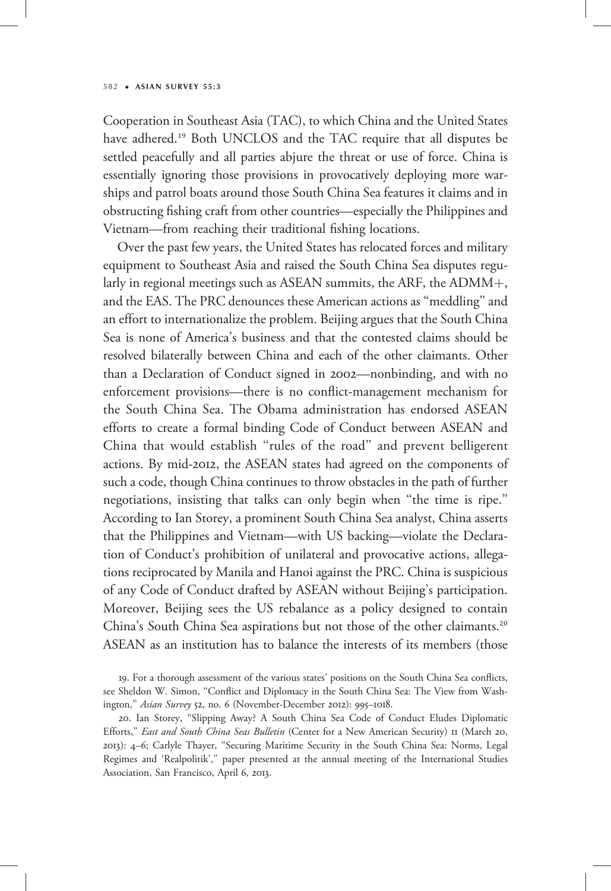Cooperation in Southeast Asia (TAC), to which China and the United States have adhered.<sup>19</sup> Both UNCLOS and the TAC require that all disputes be settled peacefully and all parties abjure the threat or use of force. China is essentially ignoring those provisions in provocatively deploying more warships and patrol boats around those South China Sea features it claims and in obstructing fishing craft from other countries—especially the Philippines and Vietnam—from reaching their traditional fishing locations.

Over the past few years, the United States has relocated forces and military equipment to Southeast Asia and raised the South China Sea disputes regularly in regional meetings such as ASEAN summits, the ARF, the ADMM $+$ , and the EAS. The PRC denounces these American actions as ''meddling'' and an effort to internationalize the problem. Beijing argues that the South China Sea is none of America's business and that the contested claims should be resolved bilaterally between China and each of the other claimants. Other than a Declaration of Conduct signed in 2002—nonbinding, and with no enforcement provisions—there is no conflict-management mechanism for the South China Sea. The Obama administration has endorsed ASEAN efforts to create a formal binding Code of Conduct between ASEAN and China that would establish ''rules of the road'' and prevent belligerent actions. By mid-2012, the ASEAN states had agreed on the components of such a code, though China continues to throw obstacles in the path of further negotiations, insisting that talks can only begin when ''the time is ripe.'' According to Ian Storey, a prominent South China Sea analyst, China asserts that the Philippines and Vietnam—with US backing—violate the Declaration of Conduct's prohibition of unilateral and provocative actions, allegations reciprocated by Manila and Hanoi against the PRC. China is suspicious of any Code of Conduct drafted by ASEAN without Beijing's participation. Moreover, Beijing sees the US rebalance as a policy designed to contain China's South China Sea aspirations but not those of the other claimants.<sup>20</sup> ASEAN as an institution has to balance the interests of its members (those

<sup>19.</sup> For a thorough assessment of the various states' positions on the South China Sea conflicts, see Sheldon W. Simon, ''Conflict and Diplomacy in the South China Sea: The View from Washington," Asian Survey 52, no. 6 (November-December 2012): 995-1018.

<sup>20.</sup> Ian Storey, ''Slipping Away? A South China Sea Code of Conduct Eludes Diplomatic Efforts," East and South China Seas Bulletin (Center for a New American Security) II (March 20, 2013): 4–6; Carlyle Thayer, ''Securing Maritime Security in the South China Sea: Norms, Legal Regimes and 'Realpolitik','' paper presented at the annual meeting of the International Studies Association, San Francisco, April 6, 2013.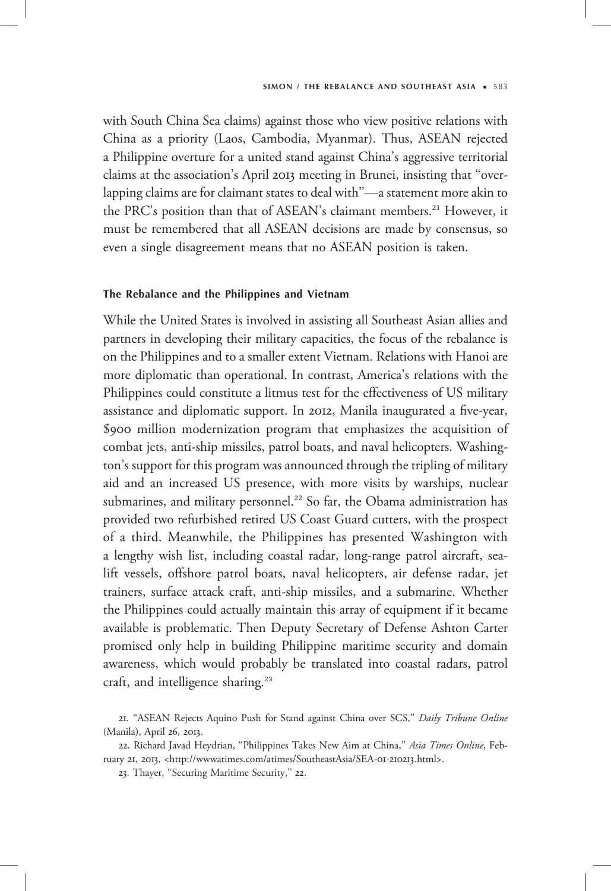### SIMON / THE REBALANCE AND SOUTHEAST ASIA • 583

with South China Sea claims) against those who view positive relations with China as a priority (Laos, Cambodia, Myanmar). Thus, ASEAN rejected a Philippine overture for a united stand against China's aggressive territorial claims at the association's April 2013 meeting in Brunei, insisting that ''overlapping claims are for claimant states to deal with''—a statement more akin to the PRC's position than that of ASEAN's claimant members.<sup>21</sup> However, it must be remembered that all ASEAN decisions are made by consensus, so even a single disagreement means that no ASEAN position is taken.

### The Rebalance and the Philippines and Vietnam

While the United States is involved in assisting all Southeast Asian allies and partners in developing their military capacities, the focus of the rebalance is on the Philippines and to a smaller extent Vietnam. Relations with Hanoi are more diplomatic than operational. In contrast, America's relations with the Philippines could constitute a litmus test for the effectiveness of US military assistance and diplomatic support. In 2012, Manila inaugurated a five-year, \$900 million modernization program that emphasizes the acquisition of combat jets, anti-ship missiles, patrol boats, and naval helicopters. Washington's support for this program was announced through the tripling of military aid and an increased US presence, with more visits by warships, nuclear submarines, and military personnel.<sup>22</sup> So far, the Obama administration has provided two refurbished retired US Coast Guard cutters, with the prospect of a third. Meanwhile, the Philippines has presented Washington with a lengthy wish list, including coastal radar, long-range patrol aircraft, sealift vessels, offshore patrol boats, naval helicopters, air defense radar, jet trainers, surface attack craft, anti-ship missiles, and a submarine. Whether the Philippines could actually maintain this array of equipment if it became available is [problematic.](http://wwwatimes.com/atimes/SoutheastAsia/SEA-01-210213.html) [Then](http://wwwatimes.com/atimes/SoutheastAsia/SEA-01-210213.html) [Deputy](http://wwwatimes.com/atimes/SoutheastAsia/SEA-01-210213.html) [Secretary](http://wwwatimes.com/atimes/SoutheastAsia/SEA-01-210213.html) [of](http://wwwatimes.com/atimes/SoutheastAsia/SEA-01-210213.html) [Defense](http://wwwatimes.com/atimes/SoutheastAsia/SEA-01-210213.html) [A](http://wwwatimes.com/atimes/SoutheastAsia/SEA-01-210213.html)shton Carter promised only help in building Philippine maritime security and domain awareness, which would probably be translated into coastal radars, patrol craft, and intelligence sharing.<sup>23</sup>

<sup>21. &</sup>quot;ASEAN Rejects Aquino Push for Stand against China over SCS," Daily Tribune Online (Manila), April 26, 2013.

<sup>22.</sup> Richard Javad Heydrian, "Philippines Takes New Aim at China," Asia Times Online, February 21, 2013, <http://wwwatimes.com/atimes/SoutheastAsia/SEA-01-210213.html>.

<sup>23.</sup> Thayer, ''Securing Maritime Security,'' 22.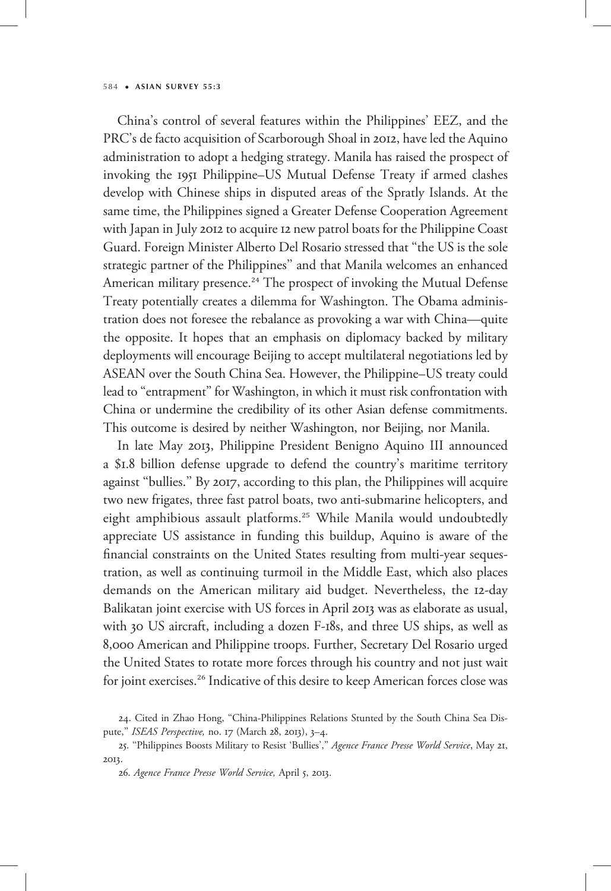China's control of several features within the Philippines' EEZ, and the PRC's de facto acquisition of Scarborough Shoal in 2012, have led the Aquino administration to adopt a hedging strategy. Manila has raised the prospect of invoking the 1951 Philippine–US Mutual Defense Treaty if armed clashes develop with Chinese ships in disputed areas of the Spratly Islands. At the same time, the Philippines signed a Greater Defense Cooperation Agreement with Japan in July 2012 to acquire 12 new patrol boats for the Philippine Coast Guard. Foreign Minister Alberto Del Rosario stressed that ''the US is the sole strategic partner of the Philippines'' and that Manila welcomes an enhanced American military presence.<sup>24</sup> The prospect of invoking the Mutual Defense Treaty potentially creates a dilemma for Washington. The Obama administration does not foresee the rebalance as provoking a war with China—quite the opposite. It hopes that an emphasis on diplomacy backed by military deployments will encourage Beijing to accept multilateral negotiations led by ASEAN over the South China Sea. However, the Philippine–US treaty could lead to ''entrapment'' for Washington, in which it must risk confrontation with China or undermine the credibility of its other Asian defense commitments. This outcome is desired by neither Washington, nor Beijing, nor Manila.

In late May 2013, Philippine President Benigno Aquino III announced a \$1.8 billion defense upgrade to defend the country's maritime territory against ''bullies.'' By 2017, according to this plan, the Philippines will acquire two new frigates, three fast patrol boats, two anti-submarine helicopters, and eight amphibious assault platforms.<sup>25</sup> While Manila would undoubtedly appreciate US assistance in funding this buildup, Aquino is aware of the financial constraints on the United States resulting from multi-year sequestration, as well as continuing turmoil in the Middle East, which also places demands on the American military aid budget. Nevertheless, the 12-day Balikatan joint exercise with US forces in April 2013 was as elaborate as usual, with 30 US aircraft, including a dozen F-18s, and three US ships, as well as 8,000 American and Philippine troops. Further, Secretary Del Rosario urged the United States to rotate more forces through his country and not just wait for joint exercises.<sup>26</sup> Indicative of this desire to keep American forces close was

<sup>24.</sup> Cited in Zhao Hong, ''China-Philippines Relations Stunted by the South China Sea Dispute,'' ISEAS Perspective, no. 17 (March 28, 2013), 3–4.

<sup>25.</sup> ''Philippines Boosts Military to Resist 'Bullies','' Agence France Presse World Service, May 21, 2013.

<sup>26.</sup> Agence France Presse World Service, April 5, 2013.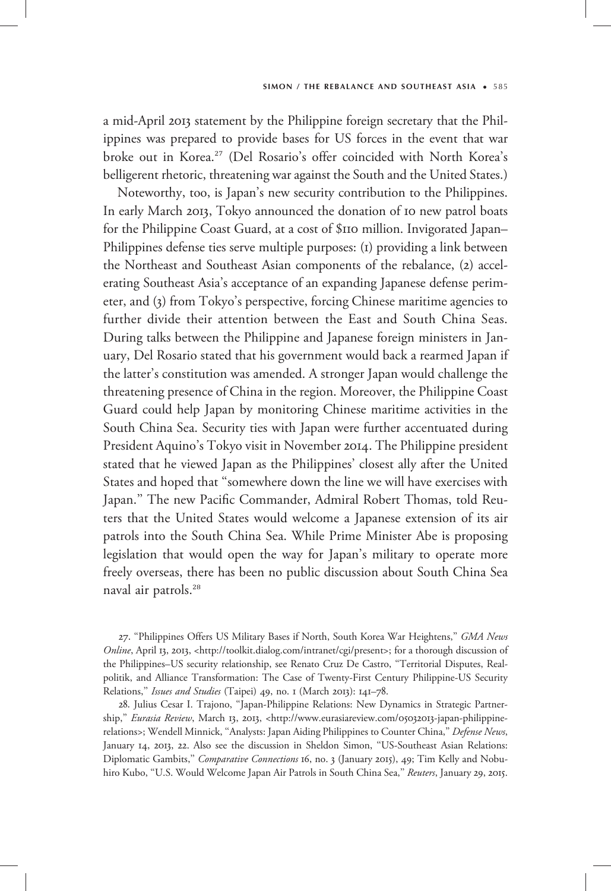### SIMON / THE REBALANCE AND SOUTHEAST ASIA • 585

a mid-April 2013 statement by the Philippine foreign secretary that the Philippines was prepared to provide bases for US forces in the event that war broke out in Korea.<sup>27</sup> (Del Rosario's offer coincided with North Korea's belligerent rhetoric, threatening war against the South and the United States.)

Noteworthy, too, is Japan's new security contribution to the Philippines. In early March 2013, Tokyo announced the donation of 10 new patrol boats for the Philippine Coast Guard, at a cost of \$110 million. Invigorated Japan– Philippines defense ties serve multiple purposes: (1) providing a link between the Northeast and Southeast Asian components of the rebalance, (2) accelerating Southeast Asia's acceptance of an expanding Japanese defense perimeter, and (3) from Tokyo's perspective, forcing Chinese maritime agencies to further divide their attention between the East and South China Seas. During talks between the Philippine and Japanese foreign ministers in January, Del Rosario stated that his government would back a rearmed Japan if the latter's constitution was amended. A stronger Japan would challenge the threatening presence of China in the region. Moreover, the Philippine Coast Guard could help Japan by monitoring Chinese maritime activities in the South China Sea. Security ties with Japan were further accentuated during President Aquino's Tokyo visit in November 2014. The Philippine president stated that he viewed Japan as the Philippines' closest ally after the United States and hoped that ''somewhere down the line we will have exercises with Japan.'' The new Pacific Commander, Admiral Robert Thomas, told Reuters that the Uni[ted States would welcome a Japan](http://toolkit.dialog.com/intranet/cgi/present)ese extension of its air patrols into the South China Sea. While Prime Minister Abe is proposing legislation that would open the way for Japan's military to operate more freely overseas, there has been [no](http://www.eurasiareview.com/05032013-japan-philippine-relations) [public](http://www.eurasiareview.com/05032013-japan-philippine-relations) [discussion](http://www.eurasiareview.com/05032013-japan-philippine-relations) [about](http://www.eurasiareview.com/05032013-japan-philippine-relations) [South](http://www.eurasiareview.com/05032013-japan-philippine-relations) [China](http://www.eurasiareview.com/05032013-japan-philippine-relations) [Sea](http://www.eurasiareview.com/05032013-japan-philippine-relations) [naval a](http://www.eurasiareview.com/05032013-japan-philippine-relations)ir patrols.<sup>28</sup>

27. "Philippines Offers US Military Bases if North, South Korea War Heightens," GMA News Online, April 13, 2013, <http://toolkit.dialog.com/intranet/cgi/present>; for a thorough discussion of the Philippines–US security relationship, see Renato Cruz De Castro, ''Territorial Disputes, Realpolitik, and Alliance Transformation: The Case of Twenty-First Century Philippine-US Security Relations," Issues and Studies (Taipei) 49, no. 1 (March 2013): 141-78.

28. Julius Cesar I. Trajono, ''Japan-Philippine Relations: New Dynamics in Strategic Partnership," Eurasia Review, March 13, 2013, <http://www.eurasiareview.com/05032013-japan-philippinerelations>; Wendell Minnick, "Analysts: Japan Aiding Philippines to Counter China," Defense News, January 14, 2013, 22. Also see the discussion in Sheldon Simon, ''US-Southeast Asian Relations: Diplomatic Gambits," Comparative Connections 16, no. 3 (January 2015), 49; Tim Kelly and Nobuhiro Kubo, "U.S. Would Welcome Japan Air Patrols in South China Sea," Reuters, January 29, 2015.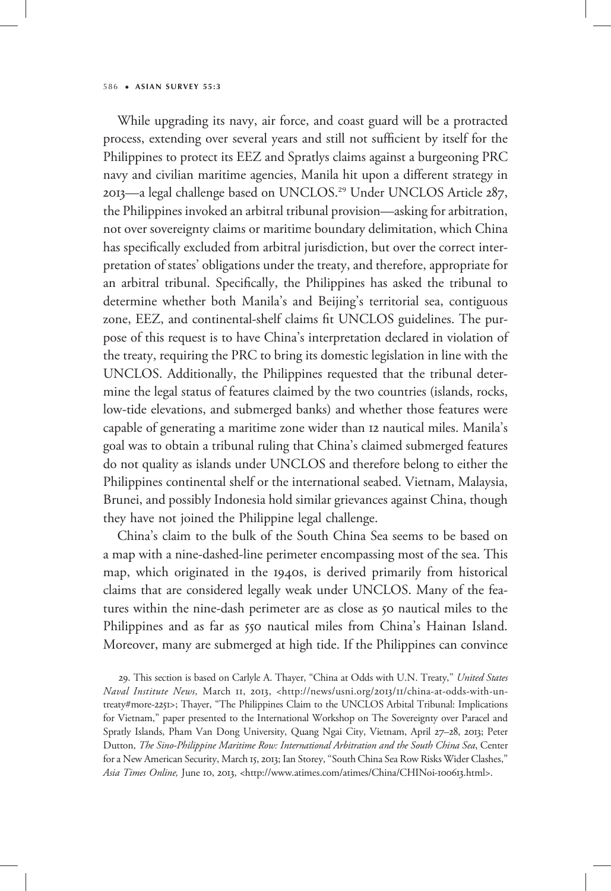While upgrading its navy, air force, and coast guard will be a protracted process, extending over several years and still not sufficient by itself for the Philippines to protect its EEZ and Spratlys claims against a burgeoning PRC navy and civilian maritime agencies, Manila hit upon a different strategy in 2013—a legal challenge based on UNCLOS.<sup>29</sup> Under UNCLOS Article 287, the Philippines invoked an arbitral tribunal provision—asking for arbitration, not over sovereignty claims or maritime boundary delimitation, which China has specifically excluded from arbitral jurisdiction, but over the correct interpretation of states' obligations under the treaty, and therefore, appropriate for an arbitral tribunal. Specifically, the Philippines has asked the tribunal to determine whether both Manila's and Beijing's territorial sea, contiguous zone, EEZ, and continental-shelf claims fit UNCLOS guidelines. The purpose of this request is to have China's interpretation declared in violation of the treaty, requiring the PRC to bring its domestic legislation in line with the UNCLOS. Additionally, the Philippines requested that the tribunal determine the legal status of features claimed by the two countries (islands, rocks, low-tide elevations, and submerged banks) and whether those features were capable of generating a maritime zone wider than 12 nautical miles. Manila's goal was to obtain a tribunal ruling that China's claimed submerged features do not quality as islands under UNCLOS and therefore belong to either the Philippines continental shelf or the international seabed. Vietnam, Malaysia, Brunei, and possibly Indonesia hold similar grievances against China, though they have not joined the Philippine legal challenge.

China's claim to the bulk of the South China Sea seems to be based on a map with a nine-dashed-line pe[rimeter encompassing most of the sea. This](http://news/usni.org/2013/11/china-at-odds-with-un-treaty#more-2251) [map, which](http://news/usni.org/2013/11/china-at-odds-with-un-treaty#more-2251) originated in the 1940s, is derived primarily from historical claims that are considered legally weak under UNCLOS. Many of the features within the nine-dash perimeter are as close as 50 nautical miles to the Philippines and as far as 550 nautical miles from China's Hainan Island. Moreover, many are subm[erged](http://www.atimes.com/atimes/China/CHINoi-100613.html) [at](http://www.atimes.com/atimes/China/CHINoi-100613.html) [high](http://www.atimes.com/atimes/China/CHINoi-100613.html) [tide.](http://www.atimes.com/atimes/China/CHINoi-100613.html) [If](http://www.atimes.com/atimes/China/CHINoi-100613.html) [the](http://www.atimes.com/atimes/China/CHINoi-100613.html) [Philippines](http://www.atimes.com/atimes/China/CHINoi-100613.html) [can](http://www.atimes.com/atimes/China/CHINoi-100613.html) [conv](http://www.atimes.com/atimes/China/CHINoi-100613.html)ince

29. This section is based on Carlyle A. Thayer, "China at Odds with U.N. Treaty," United States Naval Institute News, March 11, 2013, <http://news/usni.org/2013/11/china-at-odds-with-untreaty#more-2251>; Thayer, ''The Philippines Claim to the UNCLOS Arbital Tribunal: Implications for Vietnam,'' paper presented to the International Workshop on The Sovereignty over Paracel and Spratly Islands, Pham Van Dong University, Quang Ngai City, Vietnam, April 27–28, 2013; Peter Dutton, The Sino-Philippine Maritime Row: International Arbitration and the South China Sea, Center for a New American Security, March 15, 2013; Ian Storey, ''South China Sea Row Risks Wider Clashes,'' Asia Times Online, June 10, 2013, <http://www.atimes.com/atimes/China/CHINoi-100613.html>.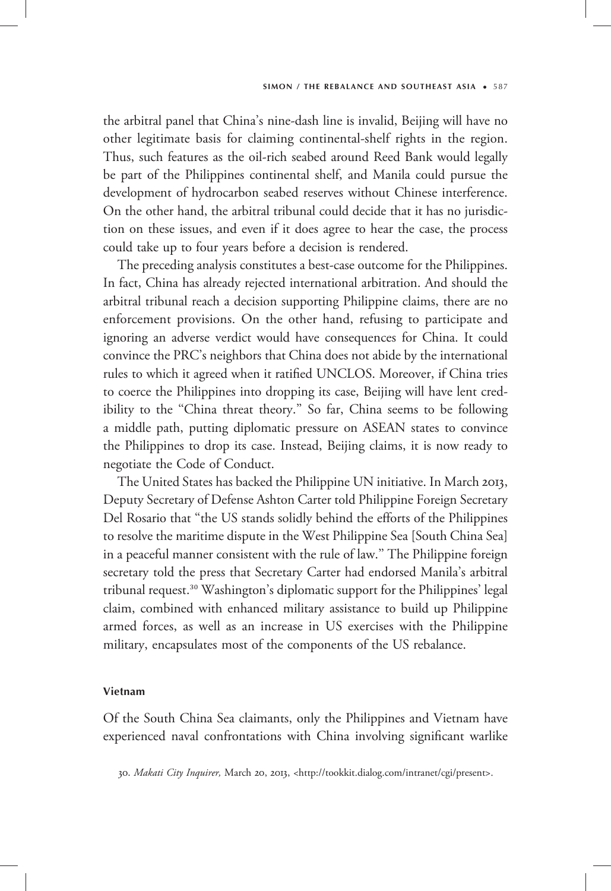### SIMON / THE REBALANCE AND SOUTHEAST ASIA • 587

the arbitral panel that China's nine-dash line is invalid, Beijing will have no other legitimate basis for claiming continental-shelf rights in the region. Thus, such features as the oil-rich seabed around Reed Bank would legally be part of the Philippines continental shelf, and Manila could pursue the development of hydrocarbon seabed reserves without Chinese interference. On the other hand, the arbitral tribunal could decide that it has no jurisdiction on these issues, and even if it does agree to hear the case, the process could take up to four years before a decision is rendered.

The preceding analysis constitutes a best-case outcome for the Philippines. In fact, China has already rejected international arbitration. And should the arbitral tribunal reach a decision supporting Philippine claims, there are no enforcement provisions. On the other hand, refusing to participate and ignoring an adverse verdict would have consequences for China. It could convince the PRC's neighbors that China does not abide by the international rules to which it agreed when it ratified UNCLOS. Moreover, if China tries to coerce the Philippines into dropping its case, Beijing will have lent credibility to the "China threat theory." So far, China seems to be following a middle path, putting diplomatic pressure on ASEAN states to convince the Philippines to drop its case. Instead, Beijing claims, it is now ready to negotiate the Code of Conduct.

The United States has backed the Philippine UN initiative. In March 2013, Deputy Secretary of Defense Ashton Carter told Philippine Foreign Secretary Del Rosario that ''the US stands solidly behind the efforts of the Philippines to resolve the maritime dispute in the West Philippine Sea [South China Sea] in a peaceful manner consistent with the rule of law.'' The Philippine foreign secretary told the press that Secretary Carter had endorsed Manila's arbitral tribunal request.<sup>30</sup> Washington's diplomatic support for the Philippines' legal claim, combined with enhanced military assistance to build up Philippine armed forces, as well as an increase in US exercises with the Philippine military, encapsulates most of the c[omponents](http://tookkit.dialog.com/intranet/cgi/present) [of](http://tookkit.dialog.com/intranet/cgi/present) [the](http://tookkit.dialog.com/intranet/cgi/present) [US](http://tookkit.dialog.com/intranet/cgi/present) [rebalance.](http://tookkit.dialog.com/intranet/cgi/present)

### Vietnam

Of the South China Sea claimants, only the Philippines and Vietnam have experienced naval confrontations with China involving significant warlike

<sup>30.</sup> Makati City Inquirer, March 20, 2013, <http://tookkit.dialog.com/intranet/cgi/present>.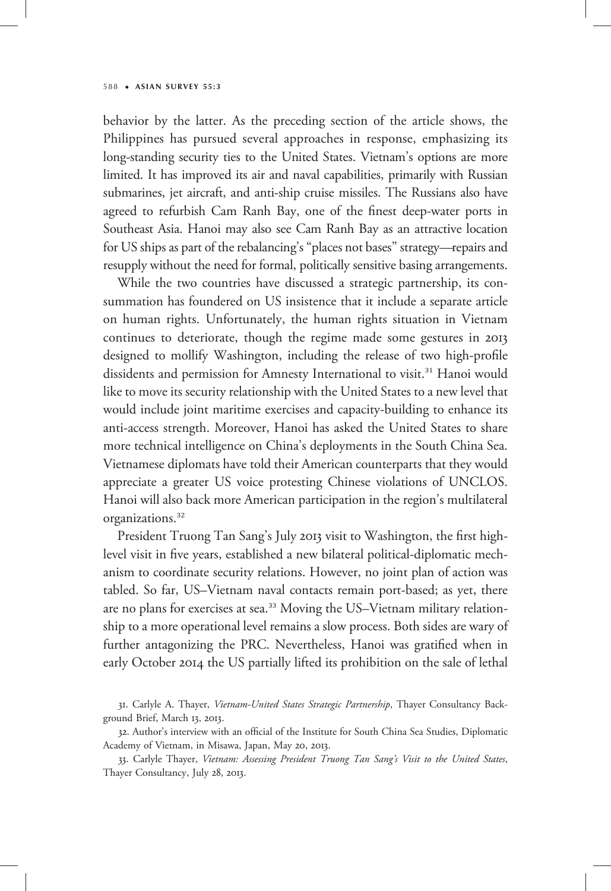behavior by the latter. As the preceding section of the article shows, the Philippines has pursued several approaches in response, emphasizing its long-standing security ties to the United States. Vietnam's options are more limited. It has improved its air and naval capabilities, primarily with Russian submarines, jet aircraft, and anti-ship cruise missiles. The Russians also have agreed to refurbish Cam Ranh Bay, one of the finest deep-water ports in Southeast Asia. Hanoi may also see Cam Ranh Bay as an attractive location for US ships as part of the rebalancing's ''places not bases'' strategy—repairs and resupply without the need for formal, politically sensitive basing arrangements.

While the two countries have discussed a strategic partnership, its consummation has foundered on US insistence that it include a separate article on human rights. Unfortunately, the human rights situation in Vietnam continues to deteriorate, though the regime made some gestures in 2013 designed to mollify Washington, including the release of two high-profile dissidents and permission for Amnesty International to visit.<sup>31</sup> Hanoi would like to move its security relationship with the United States to a new level that would include joint maritime exercises and capacity-building to enhance its anti-access strength. Moreover, Hanoi has asked the United States to share more technical intelligence on China's deployments in the South China Sea. Vietnamese diplomats have told their American counterparts that they would appreciate a greater US voice protesting Chinese violations of UNCLOS. Hanoi will also back more American participation in the region's multilateral organizations.<sup>32</sup>

President Truong Tan Sang's July 2013 visit to Washington, the first highlevel visit in five years, established a new bilateral political-diplomatic mechanism to coordinate security relations. However, no joint plan of action was tabled. So far, US–Vietnam naval contacts remain port-based; as yet, there are no plans for exercises at sea.<sup>33</sup> Moving the US–Vietnam military relationship to a more operational level remains a slow process. Both sides are wary of further antagonizing the PRC. Nevertheless, Hanoi was gratified when in early October 2014 the US partially lifted its prohibition on the sale of lethal

<sup>31.</sup> Carlyle A. Thayer, Vietnam-United States Strategic Partnership, Thayer Consultancy Background Brief, March 13, 2013.

<sup>32.</sup> Author's interview with an official of the Institute for South China Sea Studies, Diplomatic Academy of Vietnam, in Misawa, Japan, May 20, 2013.

<sup>33.</sup> Carlyle Thayer, Vietnam: Assessing President Truong Tan Sang's Visit to the United States, Thayer Consultancy, July 28, 2013.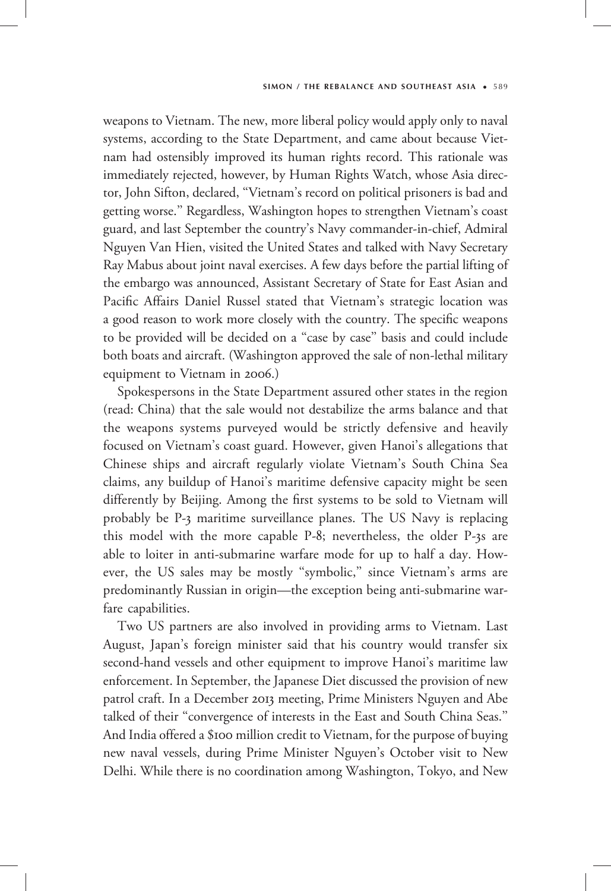weapons to Vietnam. The new, more liberal policy would apply only to naval systems, according to the State Department, and came about because Vietnam had ostensibly improved its human rights record. This rationale was immediately rejected, however, by Human Rights Watch, whose Asia director, John Sifton, declared, ''Vietnam's record on political prisoners is bad and getting worse.'' Regardless, Washington hopes to strengthen Vietnam's coast guard, and last September the country's Navy commander-in-chief, Admiral Nguyen Van Hien, visited the United States and talked with Navy Secretary Ray Mabus about joint naval exercises. A few days before the partial lifting of the embargo was announced, Assistant Secretary of State for East Asian and Pacific Affairs Daniel Russel stated that Vietnam's strategic location was a good reason to work more closely with the country. The specific weapons to be provided will be decided on a ''case by case'' basis and could include both boats and aircraft. (Washington approved the sale of non-lethal military equipment to Vietnam in 2006.)

Spokespersons in the State Department assured other states in the region (read: China) that the sale would not destabilize the arms balance and that the weapons systems purveyed would be strictly defensive and heavily focused on Vietnam's coast guard. However, given Hanoi's allegations that Chinese ships and aircraft regularly violate Vietnam's South China Sea claims, any buildup of Hanoi's maritime defensive capacity might be seen differently by Beijing. Among the first systems to be sold to Vietnam will probably be P-3 maritime surveillance planes. The US Navy is replacing this model with the more capable P-8; nevertheless, the older P-3s are able to loiter in anti-submarine warfare mode for up to half a day. However, the US sales may be mostly ''symbolic,'' since Vietnam's arms are predominantly Russian in origin—the exception being anti-submarine warfare capabilities.

Two US partners are also involved in providing arms to Vietnam. Last August, Japan's foreign minister said that his country would transfer six second-hand vessels and other equipment to improve Hanoi's maritime law enforcement. In September, the Japanese Diet discussed the provision of new patrol craft. In a December 2013 meeting, Prime Ministers Nguyen and Abe talked of their ''convergence of interests in the East and South China Seas.'' And India offered a \$100 million credit to Vietnam, for the purpose of buying new naval vessels, during Prime Minister Nguyen's October visit to New Delhi. While there is no coordination among Washington, Tokyo, and New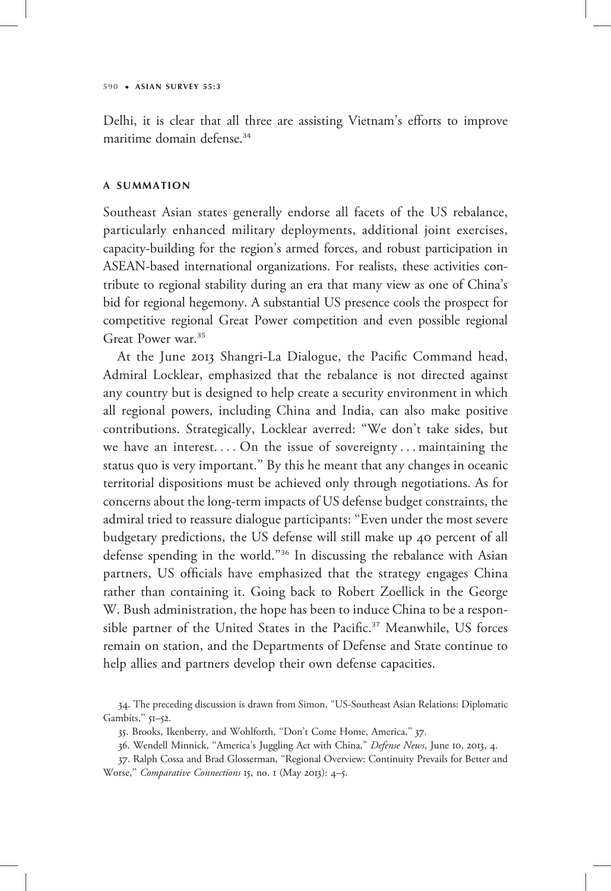Delhi, it is clear that all three are assisting Vietnam's efforts to improve maritime domain defense.<sup>34</sup>

# A SUMMATION

Southeast Asian states generally endorse all facets of the US rebalance, particularly enhanced military deployments, additional joint exercises, capacity-building for the region's armed forces, and robust participation in ASEAN-based international organizations. For realists, these activities contribute to regional stability during an era that many view as one of China's bid for regional hegemony. A substantial US presence cools the prospect for competitive regional Great Power competition and even possible regional Great Power war.<sup>35</sup>

At the June 2013 Shangri-La Dialogue, the Pacific Command head, Admiral Locklear, emphasized that the rebalance is not directed against any country but is designed to help create a security environment in which all regional powers, including China and India, can also make positive contributions. Strategically, Locklear averred: ''We don't take sides, but we have an interest. ... On the issue of sovereignty ... maintaining the status quo is very important.'' By this he meant that any changes in oceanic territorial dispositions must be achieved only through negotiations. As for concerns about the long-term impacts of US defense budget constraints, the admiral tried to reassure dialogue participants: ''Even under the most severe budgetary predictions, the US defense will still make up 40 percent of all defense spending in the world.''<sup>36</sup> In discussing the rebalance with Asian partners, US officials have emphasized that the strategy engages China rather than containing it. Going back to Robert Zoellick in the George W. Bush administration, the hope has been to induce China to be a responsible partner of the United States in the Pacific.<sup>37</sup> Meanwhile, US forces remain on station, and the Departments of Defense and State continue to help allies and partners develop their own defense capacities.

- 35. Brooks, Ikenberry, and Wohlforth, ''Don't Come Home, America,'' 37.
- 36. Wendell Minnick, "America's Juggling Act with China," Defense News, June 10, 2013, 4.
- 37. Ralph Cossa and Brad Glosserman, ''Regional Overview: Continuity Prevails for Better and Worse," *Comparative Connections* 15, no. 1 (May 2013): 4–5.

<sup>34.</sup> The preceding discussion is drawn from Simon, ''US-Southeast Asian Relations: Diplomatic Gambits," 51-52.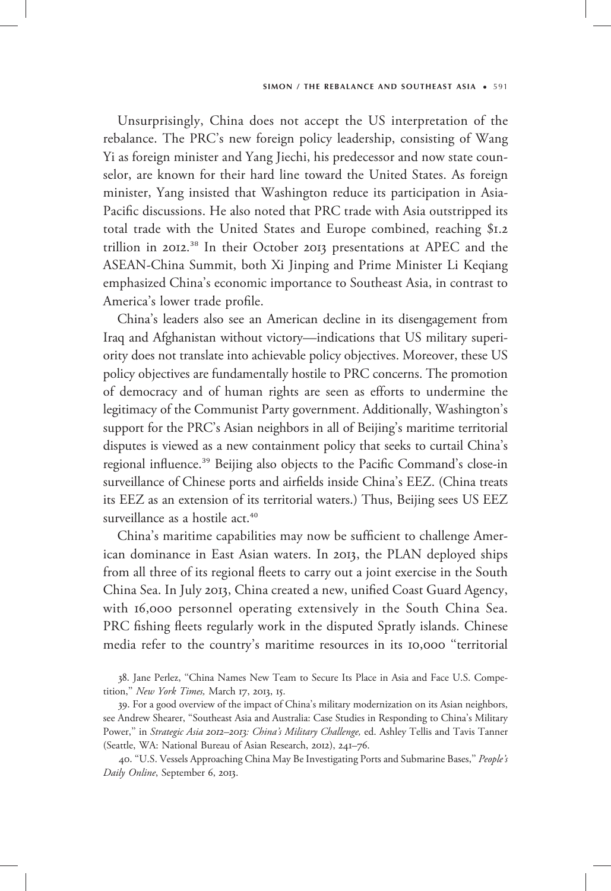Unsurprisingly, China does not accept the US interpretation of the rebalance. The PRC's new foreign policy leadership, consisting of Wang Yi as foreign minister and Yang Jiechi, his predecessor and now state counselor, are known for their hard line toward the United States. As foreign minister, Yang insisted that Washington reduce its participation in Asia-Pacific discussions. He also noted that PRC trade with Asia outstripped its total trade with the United States and Europe combined, reaching \$1.2 trillion in 2012. <sup>38</sup> In their October 2013 presentations at APEC and the ASEAN-China Summit, both Xi Jinping and Prime Minister Li Keqiang emphasized China's economic importance to Southeast Asia, in contrast to America's lower trade profile.

China's leaders also see an American decline in its disengagement from Iraq and Afghanistan without victory—indications that US military superiority does not translate into achievable policy objectives. Moreover, these US policy objectives are fundamentally hostile to PRC concerns. The promotion of democracy and of human rights are seen as efforts to undermine the legitimacy of the Communist Party government. Additionally, Washington's support for the PRC's Asian neighbors in all of Beijing's maritime territorial disputes is viewed as a new containment policy that seeks to curtail China's regional influence.<sup>39</sup> Beijing also objects to the Pacific Command's close-in surveillance of Chinese ports and airfields inside China's EEZ. (China treats its EEZ as an extension of its territorial waters.) Thus, Beijing sees US EEZ surveillance as a hostile act.<sup>40</sup>

China's maritime capabilities may now be sufficient to challenge American dominance in East Asian waters. In 2013, the PLAN deployed ships from all three of its regional fleets to carry out a joint exercise in the South China Sea. In July 2013, China created a new, unified Coast Guard Agency, with 16,000 personnel operating extensively in the South China Sea. PRC fishing fleets regularly work in the disputed Spratly islands. Chinese media refer to the country's maritime resources in its 10,000 ''territorial

<sup>38.</sup> Jane Perlez, "China Names New Team to Secure Its Place in Asia and Face U.S. Competition,'' New York Times, March 17, 2013, 15.

<sup>39.</sup> For a good overview of the impact of China's military modernization on its Asian neighbors, see Andrew Shearer, ''Southeast Asia and Australia: Case Studies in Responding to China's Military Power," in Strategic Asia 2012-2013: China's Military Challenge, ed. Ashley Tellis and Tavis Tanner (Seattle, WA: National Bureau of Asian Research, 2012), 241–76.

<sup>40.</sup> ''U.S. Vessels Approaching China May Be Investigating Ports and Submarine Bases,'' People's Daily Online, September 6, 2013.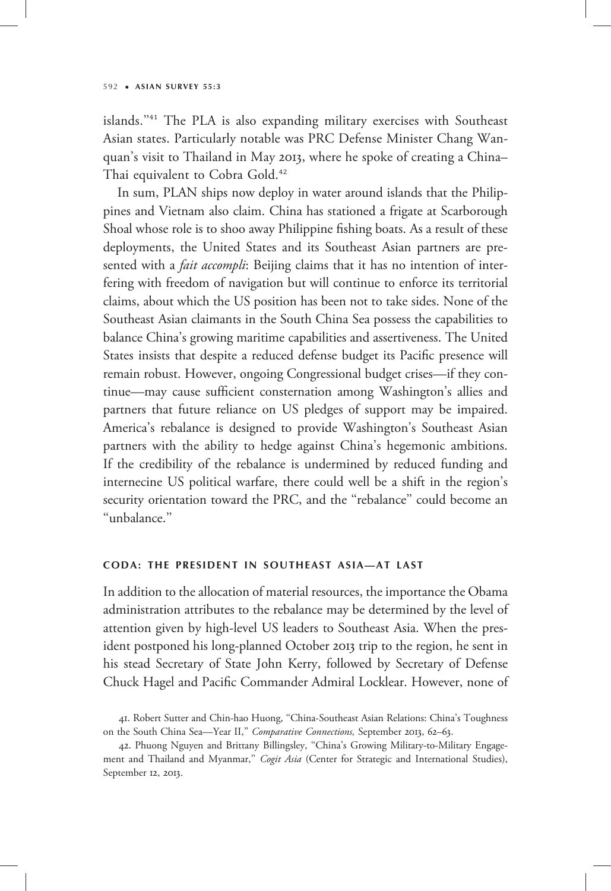islands.''<sup>41</sup> The PLA is also expanding military exercises with Southeast Asian states. Particularly notable was PRC Defense Minister Chang Wanquan's visit to Thailand in May 2013, where he spoke of creating a China– Thai equivalent to Cobra Gold.<sup>42</sup>

In sum, PLAN ships now deploy in water around islands that the Philippines and Vietnam also claim. China has stationed a frigate at Scarborough Shoal whose role is to shoo away Philippine fishing boats. As a result of these deployments, the United States and its Southeast Asian partners are presented with a *fait accompli*: Beijing claims that it has no intention of interfering with freedom of navigation but will continue to enforce its territorial claims, about which the US position has been not to take sides. None of the Southeast Asian claimants in the South China Sea possess the capabilities to balance China's growing maritime capabilities and assertiveness. The United States insists that despite a reduced defense budget its Pacific presence will remain robust. However, ongoing Congressional budget crises—if they continue—may cause sufficient consternation among Washington's allies and partners that future reliance on US pledges of support may be impaired. America's rebalance is designed to provide Washington's Southeast Asian partners with the ability to hedge against China's hegemonic ambitions. If the credibility of the rebalance is undermined by reduced funding and internecine US political warfare, there could well be a shift in the region's security orientation toward the PRC, and the ''rebalance'' could become an ''unbalance.''

# CODA: THE PRESIDENT IN SOUTHEAST ASIA—AT LAST

In addition to the allocation of material resources, the importance the Obama administration attributes to the rebalance may be determined by the level of attention given by high-level US leaders to Southeast Asia. When the president postponed his long-planned October 2013 trip to the region, he sent in his stead Secretary of State John Kerry, followed by Secretary of Defense Chuck Hagel and Pacific Commander Admiral Locklear. However, none of

<sup>41.</sup> Robert Sutter and Chin-hao Huong, ''China-Southeast Asian Relations: China's Toughness on the South China Sea-Year II," Comparative Connections, September 2013, 62-63.

<sup>42.</sup> Phuong Nguyen and Brittany Billingsley, ''China's Growing Military-to-Military Engagement and Thailand and Myanmar," Cogit Asia (Center for Strategic and International Studies), September 12, 2013.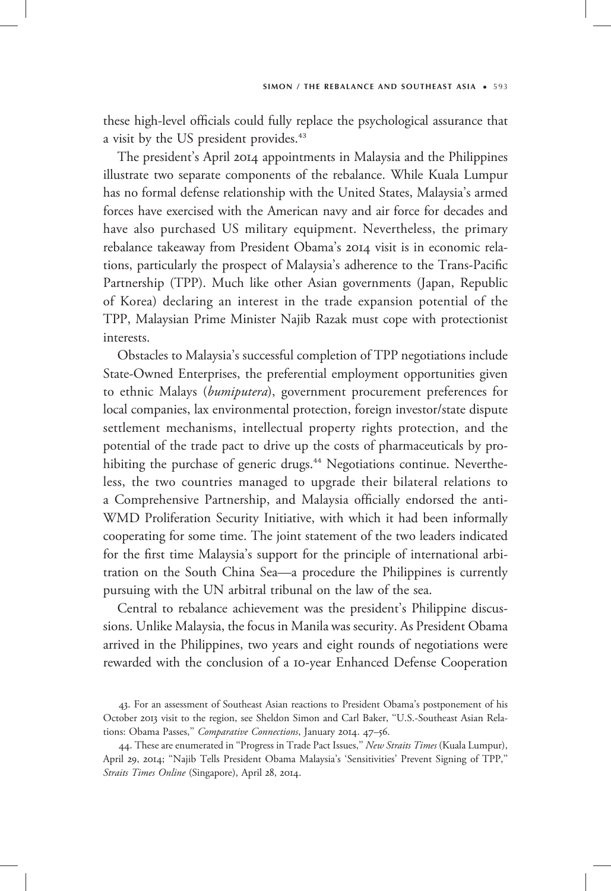these high-level officials could fully replace the psychological assurance that a visit by the US president provides.<sup>43</sup>

The president's April 2014 appointments in Malaysia and the Philippines illustrate two separate components of the rebalance. While Kuala Lumpur has no formal defense relationship with the United States, Malaysia's armed forces have exercised with the American navy and air force for decades and have also purchased US military equipment. Nevertheless, the primary rebalance takeaway from President Obama's 2014 visit is in economic relations, particularly the prospect of Malaysia's adherence to the Trans-Pacific Partnership (TPP). Much like other Asian governments (Japan, Republic of Korea) declaring an interest in the trade expansion potential of the TPP, Malaysian Prime Minister Najib Razak must cope with protectionist interests.

Obstacles to Malaysia's successful completion of TPP negotiations include State-Owned Enterprises, the preferential employment opportunities given to ethnic Malays (bumiputera), government procurement preferences for local companies, lax environmental protection, foreign investor/state dispute settlement mechanisms, intellectual property rights protection, and the potential of the trade pact to drive up the costs of pharmaceuticals by prohibiting the purchase of generic drugs.<sup>44</sup> Negotiations continue. Nevertheless, the two countries managed to upgrade their bilateral relations to a Comprehensive Partnership, and Malaysia officially endorsed the anti-WMD Proliferation Security Initiative, with which it had been informally cooperating for some time. The joint statement of the two leaders indicated for the first time Malaysia's support for the principle of international arbitration on the South China Sea—a procedure the Philippines is currently pursuing with the UN arbitral tribunal on the law of the sea.

Central to rebalance achievement was the president's Philippine discussions. Unlike Malaysia, the focus in Manila was security. As President Obama arrived in the Philippines, two years and eight rounds of negotiations were rewarded with the conclusion of a 10-year Enhanced Defense Cooperation

<sup>43.</sup> For an assessment of Southeast Asian reactions to President Obama's postponement of his October 2013 visit to the region, see Sheldon Simon and Carl Baker, ''U.S.-Southeast Asian Relations: Obama Passes," Comparative Connections, January 2014. 47-56.

<sup>44.</sup> These are enumerated in "Progress in Trade Pact Issues," New Straits Times (Kuala Lumpur), April 29, 2014; ''Najib Tells President Obama Malaysia's 'Sensitivities' Prevent Signing of TPP,'' Straits Times Online (Singapore), April 28, 2014.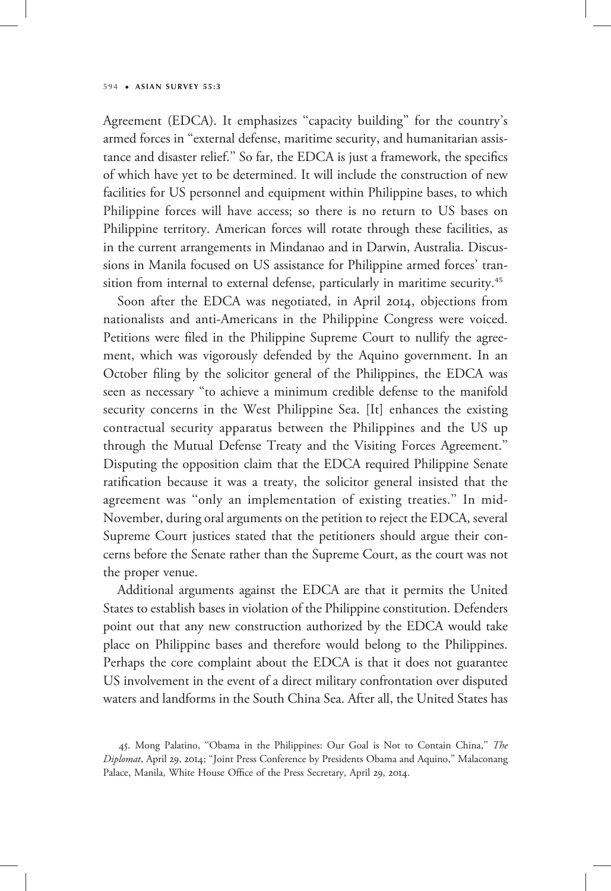Agreement (EDCA). It emphasizes ''capacity building'' for the country's armed forces in ''external defense, maritime security, and humanitarian assistance and disaster relief.'' So far, the EDCA is just a framework, the specifics of which have yet to be determined. It will include the construction of new facilities for US personnel and equipment within Philippine bases, to which Philippine forces will have access; so there is no return to US bases on Philippine territory. American forces will rotate through these facilities, as in the current arrangements in Mindanao and in Darwin, Australia. Discussions in Manila focused on US assistance for Philippine armed forces' transition from internal to external defense, particularly in maritime security.<sup>45</sup>

Soon after the EDCA was negotiated, in April 2014, objections from nationalists and anti-Americans in the Philippine Congress were voiced. Petitions were filed in the Philippine Supreme Court to nullify the agreement, which was vigorously defended by the Aquino government. In an October filing by the solicitor general of the Philippines, the EDCA was seen as necessary ''to achieve a minimum credible defense to the manifold security concerns in the West Philippine Sea. [It] enhances the existing contractual security apparatus between the Philippines and the US up through the Mutual Defense Treaty and the Visiting Forces Agreement.'' Disputing the opposition claim that the EDCA required Philippine Senate ratification because it was a treaty, the solicitor general insisted that the agreement was ''only an implementation of existing treaties.'' In mid-November, during oral arguments on the petition to reject the EDCA, several Supreme Court justices stated that the petitioners should argue their concerns before the Senate rather than the Supreme Court, as the court was not the proper venue.

Additional arguments against the EDCA are that it permits the United States to establish bases in violation of the Philippine constitution. Defenders point out that any new construction authorized by the EDCA would take place on Philippine bases and therefore would belong to the Philippines. Perhaps the core complaint about the EDCA is that it does not guarantee US involvement in the event of a direct military confrontation over disputed waters and landforms in the South China Sea. After all, the United States has

<sup>45.</sup> Mong Palatino, "Obama in the Philippines: Our Goal is Not to Contain China," The Diplomat, April 29, 2014; ''Joint Press Conference by Presidents Obama and Aquino,'' Malaconang Palace, Manila, White House Office of the Press Secretary, April 29, 2014.